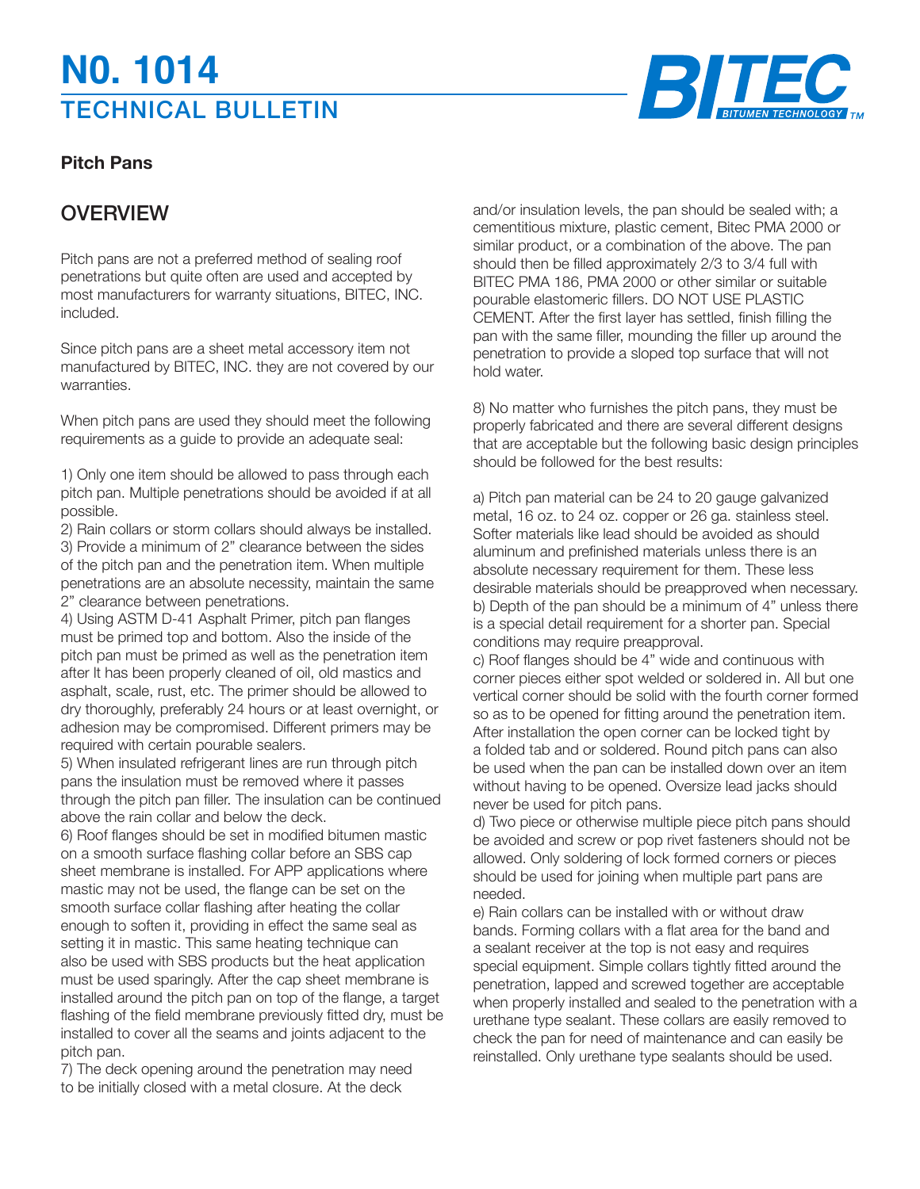## TECHNICAL BULLETIN **N0. 1014**



### **Pitch Pans**

### **OVERVIEW**

Pitch pans are not a preferred method of sealing roof penetrations but quite often are used and accepted by most manufacturers for warranty situations, BITEC, INC. included.

Since pitch pans are a sheet metal accessory item not manufactured by BITEC, INC. they are not covered by our warranties.

When pitch pans are used they should meet the following requirements as a guide to provide an adequate seal:

1) Only one item should be allowed to pass through each pitch pan. Multiple penetrations should be avoided if at all possible.

2) Rain collars or storm collars should always be installed. 3) Provide a minimum of 2" clearance between the sides of the pitch pan and the penetration item. When multiple penetrations are an absolute necessity, maintain the same 2" clearance between penetrations.

4) Using ASTM D-41 Asphalt Primer, pitch pan flanges must be primed top and bottom. Also the inside of the pitch pan must be primed as well as the penetration item after lt has been properly cleaned of oil, old mastics and asphalt, scale, rust, etc. The primer should be allowed to dry thoroughly, preferably 24 hours or at least overnight, or adhesion may be compromised. Different primers may be required with certain pourable sealers.

5) When insulated refrigerant lines are run through pitch pans the insulation must be removed where it passes through the pitch pan filler. The insulation can be continued above the rain collar and below the deck.

6) Roof flanges should be set in modified bitumen mastic on a smooth surface flashing collar before an SBS cap sheet membrane is installed. For APP applications where mastic may not be used, the flange can be set on the smooth surface collar flashing after heating the collar enough to soften it, providing in effect the same seal as setting it in mastic. This same heating technique can also be used with SBS products but the heat application must be used sparingly. After the cap sheet membrane is installed around the pitch pan on top of the flange, a target flashing of the field membrane previously fitted dry, must be installed to cover all the seams and joints adjacent to the pitch pan.

7) The deck opening around the penetration may need to be initially closed with a metal closure. At the deck

and/or insulation levels, the pan should be sealed with; a cementitious mixture, plastic cement, Bitec PMA 2000 or similar product, or a combination of the above. The pan should then be filled approximately 2/3 to 3/4 full with BITEC PMA 186, PMA 2000 or other similar or suitable pourable elastomeric fillers. DO NOT USE PLASTIC CEMENT. After the first layer has settled, finish filling the pan with the same filler, mounding the filler up around the penetration to provide a sloped top surface that will not hold water.

8) No matter who furnishes the pitch pans, they must be properly fabricated and there are several different designs that are acceptable but the following basic design principles should be followed for the best results:

a) Pitch pan material can be 24 to 20 gauge galvanized metal, 16 oz. to 24 oz. copper or 26 ga. stainless steel. Softer materials like lead should be avoided as should aluminum and prefinished materials unless there is an absolute necessary requirement for them. These less desirable materials should be preapproved when necessary. b) Depth of the pan should be a minimum of 4" unless there is a special detail requirement for a shorter pan. Special conditions may require preapproval.

c) Roof flanges should be 4" wide and continuous with corner pieces either spot welded or soldered in. All but one vertical corner should be solid with the fourth corner formed so as to be opened for fitting around the penetration item. After installation the open corner can be locked tight by a folded tab and or soldered. Round pitch pans can also be used when the pan can be installed down over an item without having to be opened. Oversize lead jacks should never be used for pitch pans.

d) Two piece or otherwise multiple piece pitch pans should be avoided and screw or pop rivet fasteners should not be allowed. Only soldering of lock formed corners or pieces should be used for joining when multiple part pans are needed.

e) Rain collars can be installed with or without draw bands. Forming collars with a flat area for the band and a sealant receiver at the top is not easy and requires special equipment. Simple collars tightly fitted around the penetration, lapped and screwed together are acceptable when properly installed and sealed to the penetration with a urethane type sealant. These collars are easily removed to check the pan for need of maintenance and can easily be reinstalled. Only urethane type sealants should be used.